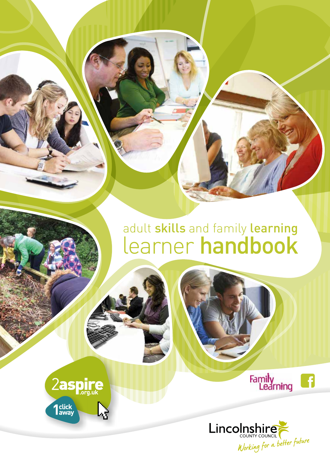## adult skills and family learning learner handbook





Family<br>Learning

6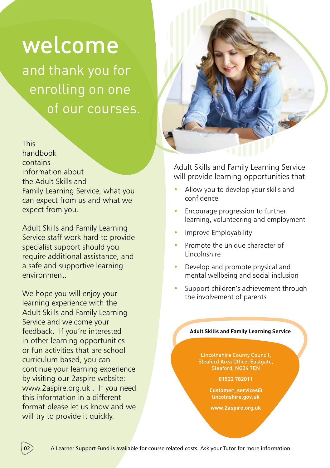# welcome

and thank you for enrolling on one of our courses.

This handbook contains information about the Adult Skills and Family Learning Service, what you can expect from us and what we expect from you.

Adult Skills and Family Learning Service staff work hard to provide specialist support should you require additional assistance, and a safe and supportive learning environment.

We hope you will enjoy your learning experience with the Adult Skills and Family Learning Service and welcome your feedback. If you're interested in other learning opportunities or fun activities that are school curriculum based, you can continue your learning experience by visiting our 2aspire website: www.2aspire.org.uk . If you need this information in a different format please let us know and we will try to provide it quickly.



Adult Skills and Family Learning Service will provide learning opportunities that:

- Allow you to develop your skills and confidence
- Encourage progression to further learning, volunteering and employment
- Improve Employability
- Promote the unique character of **Lincolnshire**
- Develop and promote physical and mental wellbeing and social inclusion
- Support children's achievement through the involvement of parents

#### **Adult Skills and Family Learning Service**

Lincolnshire County Council, Sleaford Area Office, Eastgate, Sleaford, NG34 7EN

**01522 782011** 

**Customer\_services@ lincolnshire.gov.uk**

**www.2aspire.org.uk**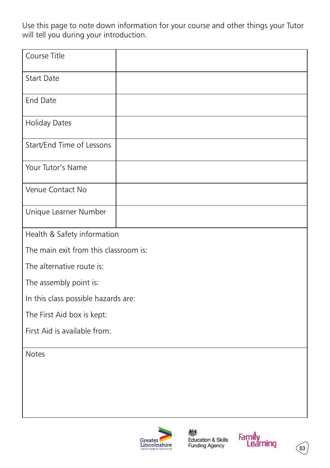Use this page to note down information for your course and other things your Tutor will tell you during your introduction.

| Course Title                          |  |
|---------------------------------------|--|
| <b>Start Date</b>                     |  |
| End Date                              |  |
| <b>Holiday Dates</b>                  |  |
| Start/End Time of Lessons             |  |
| Your Tutor's Name                     |  |
| Venue Contact No                      |  |
| Unique Learner Number                 |  |
| Health & Safety information           |  |
| The main exit from this classroom is: |  |
| The alternative route is:             |  |
| The assembly point is:                |  |
| In this class possible hazards are:   |  |
| The First Aid box is kept:            |  |
| First Aid is available from:          |  |
| <b>Notes</b>                          |  |
|                                       |  |
|                                       |  |





 $\sqrt{03}$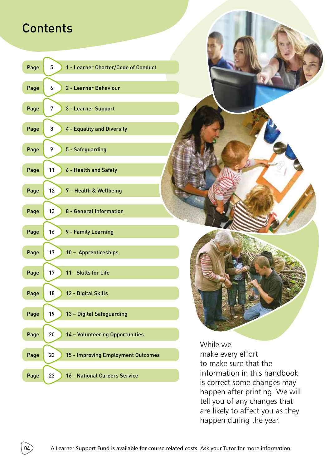## **Contents**

| Page<br>5<br>1 - Learner Charter/Code of Conduct |
|--------------------------------------------------|
| Page<br>2 - Learner Behaviour<br>6               |
| 3 - Learner Support<br>Page<br>7                 |
| Page<br>4 - Equality and Diversity<br>8          |
| Page<br>9<br>5 - Safeguarding                    |
| Page<br>11<br>6 - Health and Safety              |
| 7 - Health & Wellbeing<br>Page<br>12             |
| Page<br>13<br>8 - General Information            |
| 16<br>9 - Family Learning<br>Page                |
| 10 - Apprenticeships<br>Page<br>17               |
| 11 - Skills for Life<br>Page<br>17               |
| 18<br>12 - Digital Skills<br>Page                |
| Page<br>19<br>13 - Digital Safeguarding          |
| 20<br>14 - Volunteering Opportunities<br>Page    |
| 22<br>15 - Improving Employment Outcomes<br>Page |
| Page<br>23<br>16 - National Careers Service      |

While we make every effort to make sure that the information in this handbook is correct some changes may happen after printing. We will tell you of any changes that are likely to affect you as they happen during the year.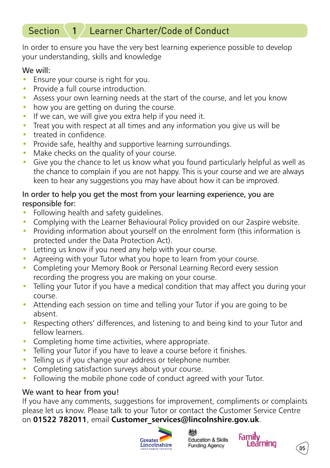#### Section 1 / Learner Charter/Code of Conduct

In order to ensure you have the very best learning experience possible to develop your understanding, skills and knowledge

#### We will:

- Ensure your course is right for you.
- Provide a full course introduction.
- Assess your own learning needs at the start of the course, and let you know
- how you are getting on during the course.
- If we can, we will give you extra help if you need it.
- Treat you with respect at all times and any information you give us will be
- treated in confidence
- Provide safe, healthy and supportive learning surroundings.
- Make checks on the quality of your course.
- Give you the chance to let us know what you found particularly helpful as well as the chance to complain if you are not happy. This is your course and we are always keen to hear any suggestions you may have about how it can be improved.

#### In order to help you get the most from your learning experience, you are responsible for:

- Following health and safety quidelines.
- Complying with the Learner Behavioural Policy provided on our 2 aspire website.
- Providing information about yourself on the enrolment form (this information is protected under the Data Protection Act).
- Letting us know if you need any help with your course.
- Agreeing with your Tutor what you hope to learn from your course.
- Completing your Memory Book or Personal Learning Record every session recording the progress you are making on your course.
- Telling your Tutor if you have a medical condition that may affect you during your course.
- Attending each session on time and telling your Tutor if you are going to be absent.
- Respecting others' differences, and listening to and being kind to your Tutor and fellow learners.
- Completing home time activities, where appropriate.
- Telling your Tutor if you have to leave a course before it finishes.
- Telling us if you change your address or telephone number.
- Completing satisfaction surveys about your course.
- Following the mobile phone code of conduct agreed with your Tutor.

#### We want to hear from you!

If you have any comments, suggestions for improvement, compliments or complaints please let us know. Please talk to your Tutor or contact the Customer Service Centre on **01522 782011**, email **Customer\_services@lincolnshire.gov.uk**.







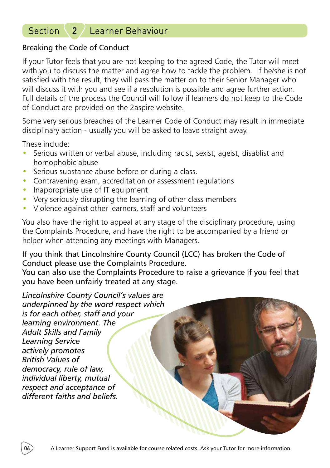### Section 2 / Learner Behaviour

#### Breaking the Code of Conduct

If your Tutor feels that you are not keeping to the agreed Code, the Tutor will meet with you to discuss the matter and agree how to tackle the problem. If he/she is not satisfied with the result, they will pass the matter on to their Senior Manager who will discuss it with you and see if a resolution is possible and agree further action. Full details of the process the Council will follow if learners do not keep to the Code of Conduct are provided on the 2aspire website.

Some very serious breaches of the Learner Code of Conduct may result in immediate disciplinary action - usually you will be asked to leave straight away.

These include:

- Serious written or verbal abuse, including racist, sexist, ageist, disablist and homophobic abuse
- Serious substance abuse before or during a class.
- Contravening exam, accreditation or assessment regulations
- Inappropriate use of IT equipment
- Very seriously disrupting the learning of other class members
- Violence against other learners, staff and volunteers

You also have the right to appeal at any stage of the disciplinary procedure, using the Complaints Procedure, and have the right to be accompanied by a friend or helper when attending any meetings with Managers.

If you think that Lincolnshire County Council (LCC) has broken the Code of Conduct please use the Complaints Procedure.

You can also use the Complaints Procedure to raise a grievance if you feel that you have been unfairly treated at any stage.

*Lincolnshire County Council's values are underpinned by the word respect which is for each other, staff and your learning environment. The Adult Skills and Family Learning Service actively promotes British Values of democracy, rule of law, individual liberty, mutual respect and acceptance of different faiths and beliefs.*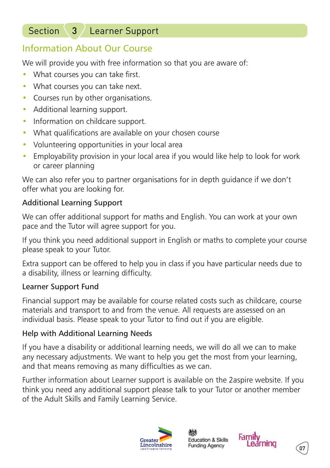### Section 3 / Learner Support

### Information About Our Course

We will provide you with free information so that you are aware of:

- What courses you can take first.
- What courses you can take next.
- Courses run by other organisations.
- Additional learning support.
- Information on childcare support.
- What qualifications are available on your chosen course
- Volunteering opportunities in your local area
- Employability provision in your local area if you would like help to look for work or career planning

We can also refer you to partner organisations for in depth guidance if we don't offer what you are looking for.

### Additional Learning Support

We can offer additional support for maths and English. You can work at your own pace and the Tutor will agree support for you.

If you think you need additional support in English or maths to complete your course please speak to your Tutor.

Extra support can be offered to help you in class if you have particular needs due to a disability, illness or learning difficulty.

### Learner Support Fund

Financial support may be available for course related costs such as childcare, course materials and transport to and from the venue. All requests are assessed on an individual basis. Please speak to your Tutor to find out if you are eligible.

### Help with Additional Learning Needs

If you have a disability or additional learning needs, we will do all we can to make any necessary adjustments. We want to help you get the most from your learning, and that means removing as many difficulties as we can.

Further information about Learner support is available on the 2aspire website. If you think you need any additional support please talk to your Tutor or another member of the Adult Skills and Family Learning Service.







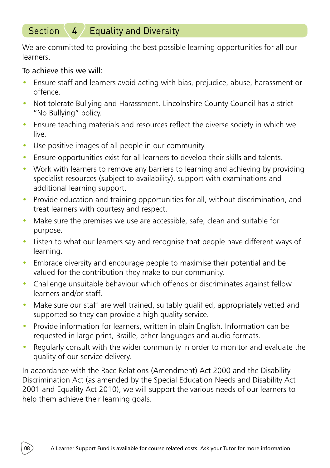### Section  $4 /$  Equality and Diversity

We are committed to providing the best possible learning opportunities for all our learners.

#### To achieve this we will:

- Ensure staff and learners avoid acting with bias, prejudice, abuse, harassment or offence.
- Not tolerate Bullying and Harassment. Lincolnshire County Council has a strict "No Bullying" policy.
- Ensure teaching materials and resources reflect the diverse society in which we live.
- Use positive images of all people in our community.
- Ensure opportunities exist for all learners to develop their skills and talents.
- Work with learners to remove any barriers to learning and achieving by providing specialist resources (subject to availability), support with examinations and additional learning support.
- Provide education and training opportunities for all, without discrimination, and treat learners with courtesy and respect.
- Make sure the premises we use are accessible, safe, clean and suitable for purpose.
- Listen to what our learners say and recognise that people have different ways of learning.
- Embrace diversity and encourage people to maximise their potential and be valued for the contribution they make to our community.
- Challenge unsuitable behaviour which offends or discriminates against fellow learners and/or staff.
- Make sure our staff are well trained, suitably qualified, appropriately vetted and supported so they can provide a high quality service.
- Provide information for learners, written in plain English. Information can be requested in large print, Braille, other languages and audio formats.
- Regularly consult with the wider community in order to monitor and evaluate the quality of our service delivery.

In accordance with the Race Relations (Amendment) Act 2000 and the Disability Discrimination Act (as amended by the Special Education Needs and Disability Act 2001 and Equality Act 2010), we will support the various needs of our learners to help them achieve their learning goals.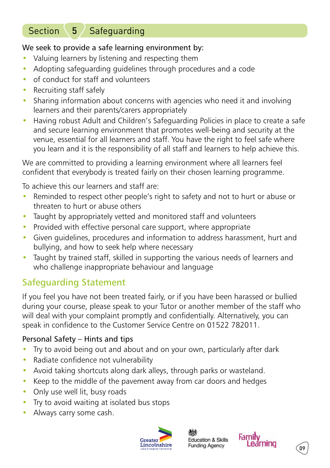### Section  $\binom{5}{3}$  Safeguarding

#### We seek to provide a safe learning environment by:

- Valuing learners by listening and respecting them
- Adopting safeguarding guidelines through procedures and a code
- of conduct for staff and volunteers
- Recruiting staff safely
- Sharing information about concerns with agencies who need it and involving learners and their parents/carers appropriately
- Having robust Adult and Children's Safeguarding Policies in place to create a safe and secure learning environment that promotes well-being and security at the venue, essential for all learners and staff. You have the right to feel safe where you learn and it is the responsibility of all staff and learners to help achieve this.

We are committed to providing a learning environment where all learners feel confident that everybody is treated fairly on their chosen learning programme.

To achieve this our learners and staff are:

- Reminded to respect other people's right to safety and not to hurt or abuse or threaten to hurt or abuse others
- Taught by appropriately vetted and monitored staff and volunteers
- Provided with effective personal care support, where appropriate
- Given guidelines, procedures and information to address harassment, hurt and bullying, and how to seek help where necessary
- Taught by trained staff, skilled in supporting the various needs of learners and who challenge inappropriate behaviour and language

### Safeguarding Statement

If you feel you have not been treated fairly, or if you have been harassed or bullied during your course, please speak to your Tutor or another member of the staff who will deal with your complaint promptly and confidentially. Alternatively, you can speak in confidence to the Customer Service Centre on 01522 782011.

#### Personal Safety – Hints and tips

- Try to avoid being out and about and on your own, particularly after dark
- Radiate confidence not vulnerability
- Avoid taking shortcuts along dark alleys, through parks or wasteland.
- Keep to the middle of the pavement away from car doors and hedges
- Only use well lit, busy roads
- Try to avoid waiting at isolated bus stops
- Always carry some cash.



**Education & Skills Funding Agency** 



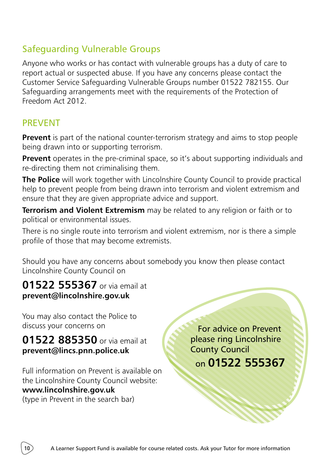### Safeguarding Vulnerable Groups

Anyone who works or has contact with vulnerable groups has a duty of care to report actual or suspected abuse. If you have any concerns please contact the Customer Service Safeguarding Vulnerable Groups number 01522 782155. Our Safeguarding arrangements meet with the requirements of the Protection of Freedom Act 2012.

### PREVENT

**Prevent** is part of the national counter-terrorism strategy and aims to stop people being drawn into or supporting terrorism.

**Prevent** operates in the pre-criminal space, so it's about supporting individuals and re-directing them not criminalising them.

**The Police** will work together with Lincolnshire County Council to provide practical help to prevent people from being drawn into terrorism and violent extremism and ensure that they are given appropriate advice and support.

**Terrorism and Violent Extremism** may be related to any religion or faith or to political or environmental issues.

There is no single route into terrorism and violent extremism, nor is there a simple profile of those that may become extremists.

Should you have any concerns about somebody you know then please contact Lincolnshire County Council on

**01522 555367** or via email at **prevent@lincolnshire.gov.uk**

You may also contact the Police to discuss your concerns on

**01522 885350** or via email at **prevent@lincs.pnn.police.uk**

Full information on Prevent is available on the Lincolnshire County Council website: **www.lincolnshire.gov.uk** (type in Prevent in the search bar)

 For advice on Prevent please ring Lincolnshire County Council on **01522 555367**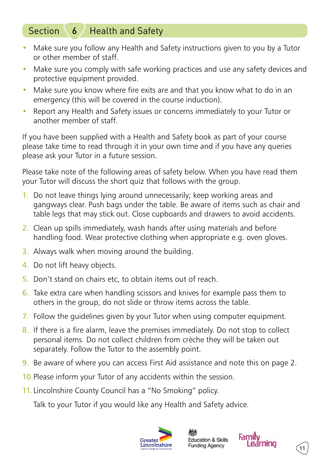### Section  $6/$  Health and Safety

- Make sure you follow any Health and Safety instructions given to you by a Tutor or other member of staff.
- Make sure you comply with safe working practices and use any safety devices and protective equipment provided.
- Make sure you know where fire exits are and that you know what to do in an emergency (this will be covered in the course induction).
- Report any Health and Safety issues or concerns immediately to your Tutor or another member of staff.

If you have been supplied with a Health and Safety book as part of your course please take time to read through it in your own time and if you have any queries please ask your Tutor in a future session.

Please take note of the following areas of safety below. When you have read them your Tutor will discuss the short quiz that follows with the group.

- 1. Do not leave things lying around unnecessarily; keep working areas and gangways clear. Push bags under the table. Be aware of items such as chair and table legs that may stick out. Close cupboards and drawers to avoid accidents.
- 2. Clean up spills immediately, wash hands after using materials and before handling food. Wear protective clothing when appropriate e.g. oven gloves.
- 3. Always walk when moving around the building.
- 4. Do not lift heavy objects.
- 5. Don't stand on chairs etc, to obtain items out of reach.
- 6. Take extra care when handling scissors and knives for example pass them to others in the group, do not slide or throw items across the table.
- 7. Follow the guidelines given by your Tutor when using computer equipment.
- 8. If there is a fire alarm, leave the premises immediately. Do not stop to collect personal items. Do not collect children from crèche they will be taken out separately. Follow the Tutor to the assembly point.
- 9. Be aware of where you can access First Aid assistance and note this on page 2.
- 10.Please inform your Tutor of any accidents within the session.
- 11. Lincolnshire County Council has a "No Smoking" policy.

Talk to your Tutor if you would like any Health and Safety advice.



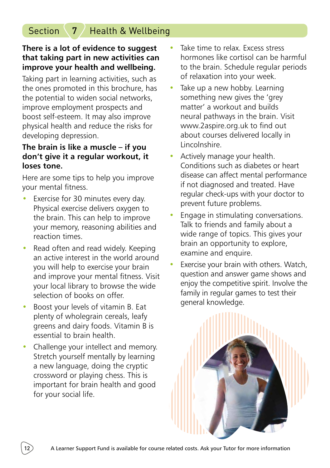### Section  $\langle 7 \rangle$  Health & Wellbeing

#### **There is a lot of evidence to suggest that taking part in new activities can improve your health and wellbeing.**

Taking part in learning activities, such as the ones promoted in this brochure, has the potential to widen social networks, improve employment prospects and boost self-esteem. It may also improve physical health and reduce the risks for developing depression.

#### **The brain is like a muscle – if you don't give it a regular workout, it loses tone.**

Here are some tips to help you improve your mental fitness.

- Exercise for 30 minutes every day. Physical exercise delivers oxygen to the brain. This can help to improve your memory, reasoning abilities and reaction times.
- Read often and read widely. Keeping an active interest in the world around you will help to exercise your brain and improve your mental fitness. Visit your local library to browse the wide selection of books on offer.
- Boost your levels of vitamin B. Eat plenty of wholegrain cereals, leafy greens and dairy foods. Vitamin B is essential to brain health.
- Challenge your intellect and memory. Stretch yourself mentally by learning a new language, doing the cryptic crossword or playing chess. This is important for brain health and good for your social life.
- Take time to relax. Excess stress hormones like cortisol can be harmful to the brain. Schedule regular periods of relaxation into your week.
- Take up a new hobby. Learning something new gives the 'grey matter' a workout and builds neural pathways in the brain. Visit www.2aspire.org.uk to find out about courses delivered locally in Lincolnshire.
- Actively manage your health. Conditions such as diabetes or heart disease can affect mental performance if not diagnosed and treated. Have regular check-ups with your doctor to prevent future problems.
- Engage in stimulating conversations. Talk to friends and family about a wide range of topics. This gives your brain an opportunity to explore, examine and enquire.
- Exercise your brain with others. Watch, question and answer game shows and enjoy the competitive spirit. Involve the family in regular games to test their general knowledge.

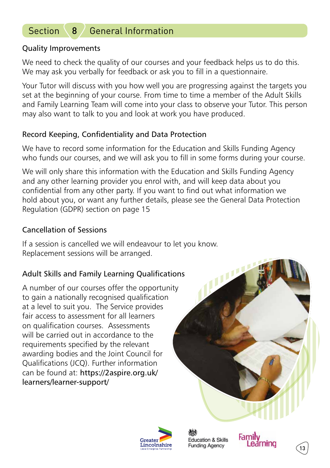### Section  $8/$  General Information

#### Quality Improvements

We need to check the quality of our courses and your feedback helps us to do this. We may ask you verbally for feedback or ask you to fill in a questionnaire.

Your Tutor will discuss with you how well you are progressing against the targets you set at the beginning of your course. From time to time a member of the Adult Skills and Family Learning Team will come into your class to observe your Tutor. This person may also want to talk to you and look at work you have produced.

#### Record Keeping, Confidentiality and Data Protection

We have to record some information for the Education and Skills Funding Agency who funds our courses, and we will ask you to fill in some forms during your course.

We will only share this information with the Education and Skills Funding Agency and any other learning provider you enrol with, and will keep data about you confidential from any other party. If you want to find out what information we hold about you, or want any further details, please see the General Data Protection Regulation (GDPR) section on page 15

#### Cancellation of Sessions

If a session is cancelled we will endeavour to let you know. Replacement sessions will be arranged.

#### Adult Skills and Family Learning Qualifications

A number of our courses offer the opportunity to gain a nationally recognised qualification at a level to suit you. The Service provides fair access to assessment for all learners on qualification courses. Assessments will be carried out in accordance to the requirements specified by the relevant awarding bodies and the Joint Council for Qualifications (JCQ). Further information can be found at: https://2aspire.org.uk/ learners/learner-support/





**Education & Skills Funding Agency** 



13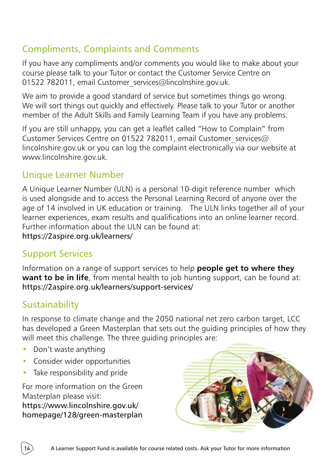### Compliments, Complaints and Comments

If you have any compliments and/or comments you would like to make about your course please talk to your Tutor or contact the Customer Service Centre on 01522 782011, email Customer services@lincolnshire.gov.uk.

We aim to provide a good standard of service but sometimes things go wrong. We will sort things out quickly and effectively. Please talk to your Tutor or another member of the Adult Skills and Family Learning Team if you have any problems.

If you are still unhappy, you can get a leaflet called "How to Complain" from Customer Services Centre on 01522 782011, email Customer services@ lincolnshire.gov.uk or you can log the complaint electronically via our website at www.lincolnshire.gov.uk.

### Unique Learner Number

A Unique Learner Number (ULN) is a personal 10-digit reference number which is used alongside and to access the Personal Learning Record of anyone over the age of 14 involved in UK education or training. The ULN links together all of your learner experiences, exam results and qualifications into an online learner record. Further information about the ULN can be found at: https://2aspire.org.uk/learners/

### Support Services

Information on a range of support services to help **people get to where they want to be in life**, from mental health to job hunting support, can be found at: https://2aspire.org.uk/learners/support-services/

### **Sustainability**

In response to climate change and the 2050 national net zero carbon target, LCC has developed a Green Masterplan that sets out the guiding principles of how they will meet this challenge. The three guiding principles are:

- Don't waste anything
- Consider wider opportunities
- Take responsibility and pride

For more information on the Green Masterplan please visit: https://www.lincolnshire.gov.uk/ homepage/128/green-masterplan

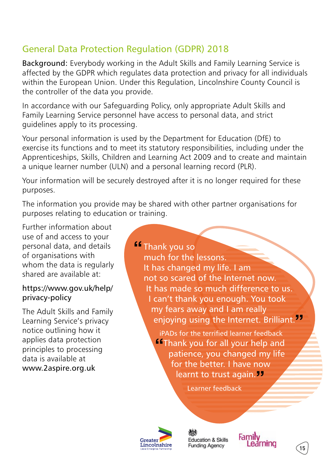### General Data Protection Regulation (GDPR) 2018

Background: Everybody working in the Adult Skills and Family Learning Service is affected by the GDPR which regulates data protection and privacy for all individuals within the European Union. Under this Regulation, Lincolnshire County Council is the controller of the data you provide.

In accordance with our Safeguarding Policy, only appropriate Adult Skills and Family Learning Service personnel have access to personal data, and strict guidelines apply to its processing.

Your personal information is used by the Department for Education (DfE) to exercise its functions and to meet its statutory responsibilities, including under the Apprenticeships, Skills, Children and Learning Act 2009 and to create and maintain a unique learner number (ULN) and a personal learning record (PLR).

Your information will be securely destroyed after it is no longer required for these purposes.

The information you provide may be shared with other partner organisations for purposes relating to education or training.

Further information about use of and access to your personal data, and details of organisations with whom the data is regularly shared are available at:

#### https://www.gov.uk/help/ privacy-policy

The Adult Skills and Family Learning Service's privacy notice outlining how it applies data protection principles to processing data is available at www.2aspire.org.uk

**Thank you so** much for the lessons. It has changed my life. I am not so scared of the Internet now. It has made so much difference to us. I can't thank you enough. You took my fears away and I am really enjoying using the Internet. Brilliant.

> iPADs for the terrified learner feedback **Thank you for all your help and**  patience, you changed my life for the better. I have now learnt to trust again.<sup>77</sup>

> > Learner feedback



**Education & Skills Funding Agency** 



15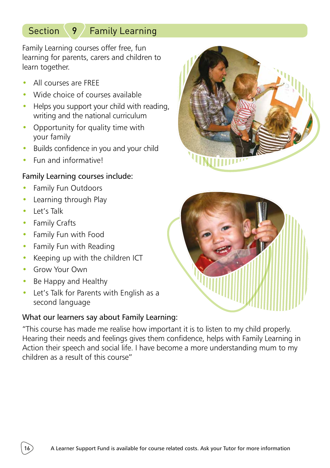### Section 9 / Family Learning

Family Learning courses offer free, fun learning for parents, carers and children to learn together.

- All courses are FREE
- Wide choice of courses available
- Helps you support your child with reading, writing and the national curriculum
- Opportunity for quality time with your family
- Builds confidence in you and your child
- Fun and informativel

#### Family Learning courses include:

- Family Fun Outdoors
- Learning through Play
- Let's Talk
- Family Crafts
- Family Fun with Food
- Family Fun with Reading
- Keeping up with the children ICT
- Grow Your Own
- Be Happy and Healthy
- Let's Talk for Parents with English as a second language

#### What our learners say about Family Learning:

"This course has made me realise how important it is to listen to my child properly. Hearing their needs and feelings gives them confidence, helps with Family Learning in Action their speech and social life. I have become a more understanding mum to my children as a result of this course"



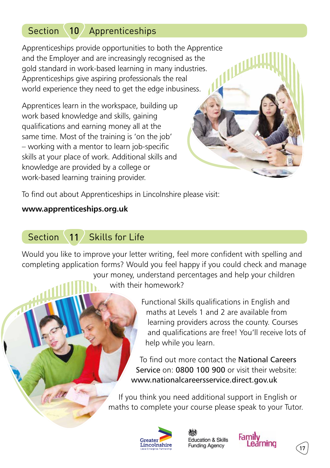### Section 10 Apprenticeships

Apprenticeships provide opportunities to both the Apprentice and the Employer and are increasingly recognised as the gold standard in work-based learning in many industries. Apprenticeships give aspiring professionals the real world experience they need to get the edge inbusiness.

Apprentices learn in the workspace, building up work based knowledge and skills, gaining qualifications and earning money all at the same time. Most of the training is 'on the job' – working with a mentor to learn job-specific skills at your place of work. Additional skills and knowledge are provided by a college or work-based learning training provider.

To find out about Apprenticeships in Lincolnshire please visit:

#### **www.apprenticeships.org.uk**

### Section 11 Skills for Life

Would you like to improve your letter writing, feel more confident with spelling and completing application forms? Would you feel happy if you could check and manage

> your money, understand percentages and help your children with their homework?

> > Functional Skills qualifications in English and maths at Levels 1 and 2 are available from learning providers across the county. Courses and qualifications are free! You'll receive lots of help while you learn.

To find out more contact the National Careers Service on: 0800 100 900 or visit their website: www.nationalcareersservice.direct.gov.uk

If you think you need additional support in English or maths to complete your course please speak to your Tutor.







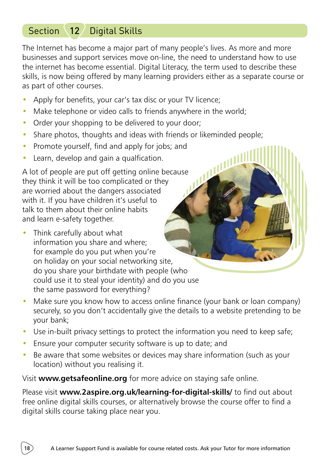### Section \12 Digital Skills

The Internet has become a major part of many people's lives. As more and more businesses and support services move on-line, the need to understand how to use the internet has become essential. Digital Literacy, the term used to describe these skills, is now being offered by many learning providers either as a separate course or as part of other courses.

心儿

- Apply for benefits, your car's tax disc or your TV licence;
- Make telephone or video calls to friends anywhere in the world:
- Order your shopping to be delivered to your door;
- Share photos, thoughts and ideas with friends or likeminded people;
- Promote yourself, find and apply for jobs; and
- Learn, develop and gain a qualfication.

A lot of people are put off getting online because they think it will be too complicated or they are worried about the dangers associated with it. If you have children it's useful to talk to them about their online habits and learn e-safety together.

- Think carefully about what information you share and where; for example do you put when you're on holiday on your social networking site, do you share your birthdate with people (who could use it to steal your identity) and do you use the same password for everything?
- Make sure you know how to access online finance (your bank or loan company) securely, so you don't accidentally give the details to a website pretending to be your bank;
- Use in-built privacy settings to protect the information you need to keep safe;
- Ensure your computer security software is up to date; and
- Be aware that some websites or devices may share information (such as your location) without you realising it.

Visit **www.getsafeonline.org** for more advice on staying safe online.

Please visit **www.2aspire.org.uk/learning-for-digital-skills/** to find out about free online digital skills courses, or alternatively browse the course offer to find a digital skills course taking place near you.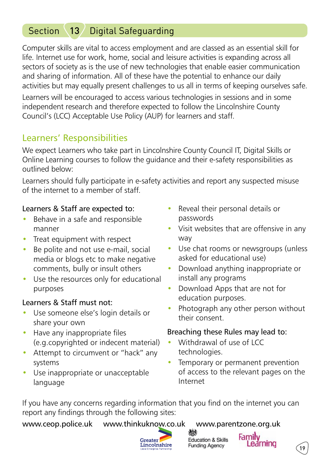### Section 13 Digital Safeguarding

Computer skills are vital to access employment and are classed as an essential skill for life. Internet use for work, home, social and leisure activities is expanding across all sectors of society as is the use of new technologies that enable easier communication and sharing of information. All of these have the potential to enhance our daily activities but may equally present challenges to us all in terms of keeping ourselves safe.

Learners will be encouraged to access various technologies in sessions and in some independent research and therefore expected to follow the Lincolnshire County Council's (LCC) Acceptable Use Policy (AUP) for learners and staff.

### Learners' Responsibilities

We expect Learners who take part in Lincolnshire County Council IT, Digital Skills or Online Learning courses to follow the guidance and their e-safety responsibilities as outlined below:

Learners should fully participate in e-safety activities and report any suspected misuse of the internet to a member of staff.

#### Learners & Staff are expected to:

- Behave in a safe and responsible manner
- Treat equipment with respect
- Be polite and not use e-mail, social media or blogs etc to make negative comments, bully or insult others
- Use the resources only for educational purposes

#### Learners & Staff must not:

- Use someone else's login details or share your own
- Have any inappropriate files (e.g.copyrighted or indecent material)
- Attempt to circumvent or "hack" any systems
- Use inappropriate or unacceptable language
- Reveal their personal details or passwords
- Visit websites that are offensive in any way
- Use chat rooms or newsgroups (unless asked for educational use)
- Download anything inappropriate or install any programs
- Download Apps that are not for education purposes.
- Photograph any other person without their consent.

#### Breaching these Rules may lead to:

- Withdrawal of use of LCC technologies.
- Temporary or permanent prevention of access to the relevant pages on the Internet

If you have any concerns regarding information that you find on the internet you can report any findings through the following sites:

www.ceop.police.uk www.thinkuknow.co.uk www.parentzone.org.uk



**Education & Skills Funding Agency** 



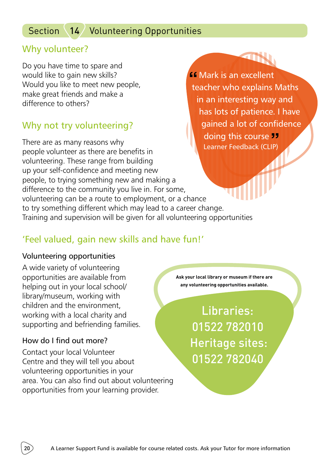### Section 14 Volunteering Opportunities

### Why volunteer?

Do you have time to spare and would like to gain new skills? Would you like to meet new people, make great friends and make a difference to others?

### Why not try volunteering?

There are as many reasons why people volunteer as there are benefits in volunteering. These range from building up your self-confidence and meeting new people, to trying something new and making a difference to the community you live in. For some, volunteering can be a route to employment, or a chance to try something different which may lead to a career change. Training and supervision will be given for all volunteering opportunities doing this course **33** Learner Feedback (CLIP)

### 'Feel valued, gain new skills and have fun!'

#### Volunteering opportunities

A wide variety of volunteering opportunities are available from helping out in your local school/ library/museum, working with children and the environment, working with a local charity and supporting and befriending families.

#### How do I find out more?

Contact your local Volunteer Centre and they will tell you about volunteering opportunities in your area. You can also find out about volunteering opportunities from your learning provider.

**Ask your local library or museum if there are any volunteering opportunities available.**

*<u>If</u>* Mark is an excellent

teacher who explains Maths in an interesting way and has lots of patience. I have gained a lot of confidence

Libraries: 01522 782010 Heritage sites: 01522 782040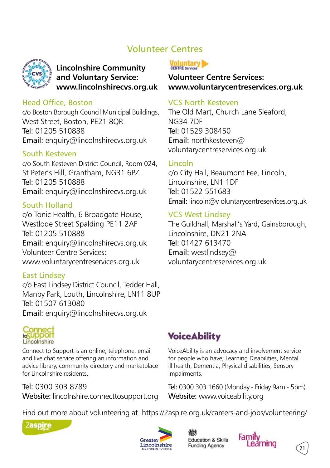### Volunteer Centres



#### **Lincolnshire Community and Voluntary Service: www.lincolnshirecvs.org.uk**

#### Head Office, Boston

c/o Boston Borough Council Municipal Buildings, West Street, Boston, PE21 8QR Tel: 01205 510888 Email: enquiry@lincolnshirecvs.org.uk

#### South Kesteven

c/o South Kesteven District Council, Room 024, St Peter's Hill, Grantham, NG31 6PZ Tel: 01205 510888 Email: enquiry@lincolnshirecvs.org.uk

#### South Holland

c/o Tonic Health, 6 Broadgate House, Westlode Street Spalding PE11 2AF Tel: 01205 510888 Email: enquiry@lincolnshirecvs.org.uk Volunteer Centre Services: www.voluntarycentreservices.org.uk

#### East Lindsey

c/o East Lindsey District Council, Tedder Hall, Manby Park, Louth, Lincolnshire, LN11 8UP Tel: 01507 613080 Email: enquiry@lincolnshirecvs.org.uk



Connect to Support is an online, telephone, email and live chat service offering an information and advice library, community directory and marketplace for Lincolnshire residents.

Tel: 0300 303 8789 Website: lincolnshire.connecttosupport.org



**Volunteer Centre Services: www.voluntarycentreservices.org.uk**

#### VCS North Kesteven

The Old Mart, Church Lane Sleaford, NG34 7DF Tel: 01529 308450 Email: northkesteven@ voluntarycentreservices.org.uk

#### Lincoln

c/o City Hall, Beaumont Fee, Lincoln, Lincolnshire, LN1 1DF Tel: 01522 551683 Email: lincoln@v oluntarycentreservices.org.uk

#### VCS West Lindsey

The Guildhall, Marshall's Yard, Gainsborough, Lincolnshire, DN21 2NA Tel: 01427 613470 Email: westlindsey@ voluntarycentreservices.org.uk

### **Voice Ability**

VoiceAbility is an advocacy and involvement service for people who have; Learning Disabilities, Mental ill health, Dementia, Physical disabilities, Sensory Impairments.

Tel: 0300 303 1660 (Monday - Friday 9am - 5pm) Website: www.voiceability.org

Find out more about volunteering at https://2aspire.org.uk/careers-and-jobs/volunteering/





**Education & Skills Funding Agency** 



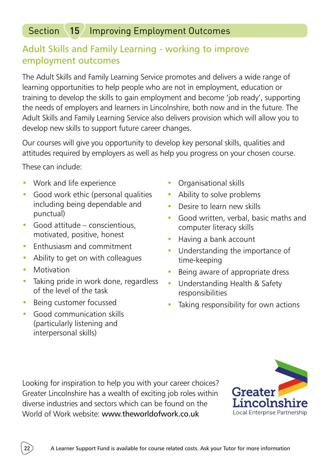### Section 15 Improving Employment Outcomes

### Adult Skills and Family Learning - working to improve employment outcomes

The Adult Skills and Family Learning Service promotes and delivers a wide range of learning opportunities to help people who are not in employment, education or training to develop the skills to gain employment and become 'job ready', supporting the needs of employers and learners in Lincolnshire, both now and in the future. The Adult Skills and Family Learning Service also delivers provision which will allow you to develop new skills to support future career changes.

Our courses will give you opportunity to develop key personal skills, qualities and attitudes required by employers as well as help you progress on your chosen course.

These can include:

- Work and life experience
- Good work ethic (personal qualities including being dependable and punctual)
- Good attitude conscientious, motivated, positive, honest
- Enthusiasm and commitment
- Ability to get on with colleagues
- Motivation
- Taking pride in work done, regardless of the level of the task
- Being customer focussed
- Good communication skills (particularly listening and interpersonal skills)
- Organisational skills
- Ability to solve problems
- Desire to learn new skills
- Good written, verbal, basic maths and computer literacy skills
- Having a bank account
- Understanding the importance of time-keeping
- Being aware of appropriate dress
- Understanding Health & Safety responsibilities
- Taking responsibility for own actions

Looking for inspiration to help you with your career choices? Greater Lincolnshire has a wealth of exciting job roles within diverse industries and sectors which can be found on the World of Work website: www.theworldofwork.co.uk



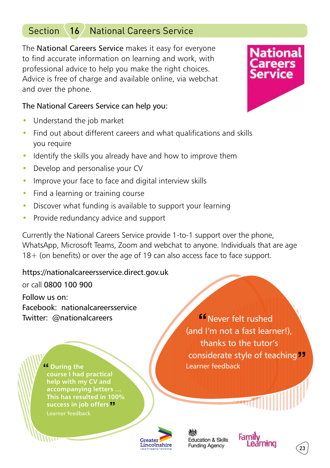### Section 16 National Careers Service

The National Careers Service makes it easy for everyone to find accurate information on learning and work, with professional advice to help you make the right choices. Advice is free of charge and available online, via webchat and over the phone.

#### The National Careers Service can help you:

- Understand the job market
- Find out about different careers and what qualifications and skills you require
- Identify the skills you already have and how to improve them
- Develop and personalise your CV
- Improve your face to face and digital interview skills
- Find a learning or training course
- Discover what funding is available to support your learning
- Provide redundancy advice and support

Currently the National Careers Service provide 1-to-1 support over the phone, WhatsApp, Microsoft Teams, Zoom and webchat to anyone. Individuals that are age 18+ (on benefits) or over the age of 19 can also access face to face support.

https://nationalcareersservice.direct.gov.uk or call 0800 100 900 Follow us on: Facebook: nationalcareersservice

Twitter: @nationalcareers

 **During the course I had practical help with my CV and accompanying letters … This has resulted in 100% success in job offers** Learner feedback

**K**Never felt rushed (and I'm not a fast learner!), thanks to the tutor's considerate style of teaching<sup>11</sup> Learner feedback



**Education & Skills Funding Agency** 



 $23$